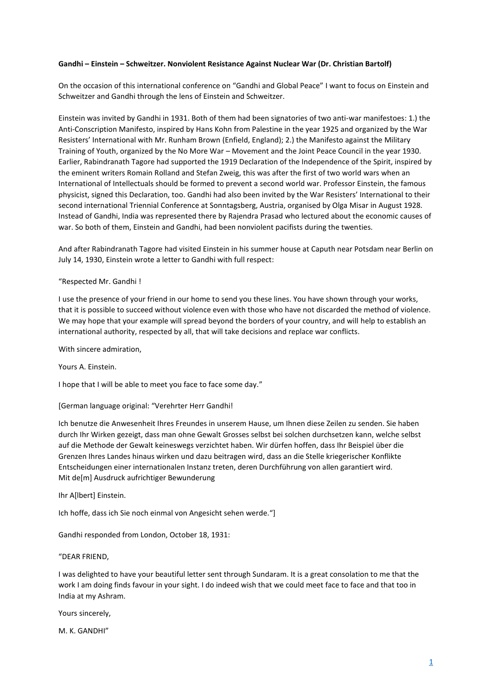## **Gandhi – Einstein – Schweitzer. Nonviolent Resistance Against Nuclear War (Dr. Christian Bartolf)**

On the occasion of this international conference on "Gandhi and Global Peace" I want to focus on Einstein and Schweitzer and Gandhi through the lens of Einstein and Schweitzer.

Einstein was invited by Gandhi in 1931. Both of them had been signatories of two anti-war manifestoes: 1.) the Anti-Conscription Manifesto, inspired by Hans Kohn from Palestine in the year 1925 and organized by the War Resisters' International with Mr. Runham Brown (Enfield, England); 2.) the Manifesto against the Military Training of Youth, organized by the No More War – Movement and the Joint Peace Council in the year 1930. Earlier, Rabindranath Tagore had supported the 1919 Declaration of the Independence of the Spirit, inspired by the eminent writers Romain Rolland and Stefan Zweig, this was after the first of two world wars when an International of Intellectuals should be formed to prevent a second world war. Professor Einstein, the famous physicist, signed this Declaration, too. Gandhi had also been invited by the War Resisters' International to their second international Triennial Conference at Sonntagsberg, Austria, organised by Olga Misar in August 1928. Instead of Gandhi, India was represented there by Rajendra Prasad who lectured about the economic causes of war. So both of them, Einstein and Gandhi, had been nonviolent pacifists during the twenties.

And after Rabindranath Tagore had visited Einstein in his summer house at Caputh near Potsdam near Berlin on July 14, 1930, Einstein wrote a letter to Gandhi with full respect:

## "Respected Mr. Gandhi !

I use the presence of your friend in our home to send you these lines. You have shown through your works, that it is possible to succeed without violence even with those who have not discarded the method of violence. We may hope that your example will spread beyond the borders of your country, and will help to establish an international authority, respected by all, that will take decisions and replace war conflicts.

With sincere admiration,

Yours A. Einstein.

I hope that I will be able to meet you face to face some day."

[German language original: "Verehrter Herr Gandhi!

Ich benutze die Anwesenheit Ihres Freundes in unserem Hause, um Ihnen diese Zeilen zu senden. Sie haben durch Ihr Wirken gezeigt, dass man ohne Gewalt Grosses selbst bei solchen durchsetzen kann, welche selbst auf die Methode der Gewalt keineswegs verzichtet haben. Wir dürfen hoffen, dass Ihr Beispiel über die Grenzen Ihres Landes hinaus wirken und dazu beitragen wird, dass an die Stelle kriegerischer Konflikte Entscheidungen einer internationalen Instanz treten, deren Durchführung von allen garantiert wird. Mit de[m] Ausdruck aufrichtiger Bewunderung

Ihr A[lbert] Einstein.

Ich hoffe, dass ich Sie noch einmal von Angesicht sehen werde."]

Gandhi responded from London, October 18, 1931:

"DEAR FRIEND,

I was delighted to have your beautiful letter sent through Sundaram. It is a great consolation to me that the work I am doing finds favour in your sight. I do indeed wish that we could meet face to face and that too in India at my Ashram.

Yours sincerely,

M. K. GANDHI"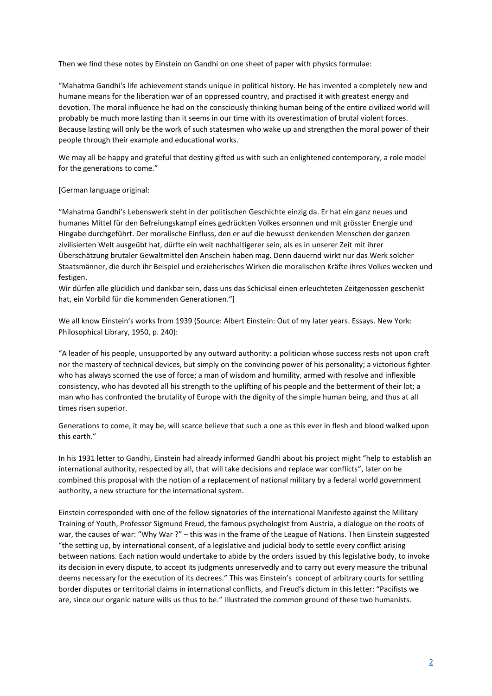Then we find these notes by Einstein on Gandhi on one sheet of paper with physics formulae:

"Mahatma Gandhi's life achievement stands unique in political history. He has invented a completely new and humane means for the liberation war of an oppressed country, and practised it with greatest energy and devotion. The moral influence he had on the consciously thinking human being of the entire civilized world will probably be much more lasting than it seems in our time with its overestimation of brutal violent forces. Because lasting will only be the work of such statesmen who wake up and strengthen the moral power of their people through their example and educational works.

We may all be happy and grateful that destiny gifted us with such an enlightened contemporary, a role model for the generations to come."

## [German language original:

"Mahatma Gandhi's Lebenswerk steht in der politischen Geschichte einzig da. Er hat ein ganz neues und humanes Mittel für den Befreiungskampf eines gedrückten Volkes ersonnen und mit grösster Energie und Hingabe durchgeführt. Der moralische Einfluss, den er auf die bewusst denkenden Menschen der ganzen zivilisierten Welt ausgeübt hat, dürfte ein weit nachhaltigerer sein, als es in unserer Zeit mit ihrer Überschätzung brutaler Gewaltmittel den Anschein haben mag. Denn dauernd wirkt nur das Werk solcher Staatsmänner, die durch ihr Beispiel und erzieherisches Wirken die moralischen Kräfte ihres Volkes wecken und festigen.

Wir dürfen alle glücklich und dankbar sein, dass uns das Schicksal einen erleuchteten Zeitgenossen geschenkt hat, ein Vorbild für die kommenden Generationen."]

We all know Einstein's works from 1939 (Source: Albert Einstein: Out of my later years. Essays. New York: Philosophical Library, 1950, p. 240):

"A leader of his people, unsupported by any outward authority: a politician whose success rests not upon craft nor the mastery of technical devices, but simply on the convincing power of his personality; a victorious fighter who has always scorned the use of force; a man of wisdom and humility, armed with resolve and inflexible consistency, who has devoted all his strength to the uplifting of his people and the betterment of their lot; a man who has confronted the brutality of Europe with the dignity of the simple human being, and thus at all times risen superior.

Generations to come, it may be, will scarce believe that such a one as this ever in flesh and blood walked upon this earth."

In his 1931 letter to Gandhi, Einstein had already informed Gandhi about his project might "help to establish an international authority, respected by all, that will take decisions and replace war conflicts", later on he combined this proposal with the notion of a replacement of national military by a federal world government authority, a new structure for the international system.

Einstein corresponded with one of the fellow signatories of the international Manifesto against the Military Training of Youth, Professor Sigmund Freud, the famous psychologist from Austria, a dialogue on the roots of war, the causes of war: "Why War ?" – this was in the frame of the League of Nations. Then Einstein suggested "the setting up, by international consent, of a legislative and judicial body to settle every conflict arising between nations. Each nation would undertake to abide by the orders issued by this legislative body, to invoke its decision in every dispute, to accept its judgments unreservedly and to carry out every measure the tribunal deems necessary for the execution of its decrees." This was Einstein's concept of arbitrary courts for settling border disputes or territorial claims in international conflicts, and Freud's dictum in this letter: "Pacifists we are, since our organic nature wills us thus to be." illustrated the common ground of these two humanists.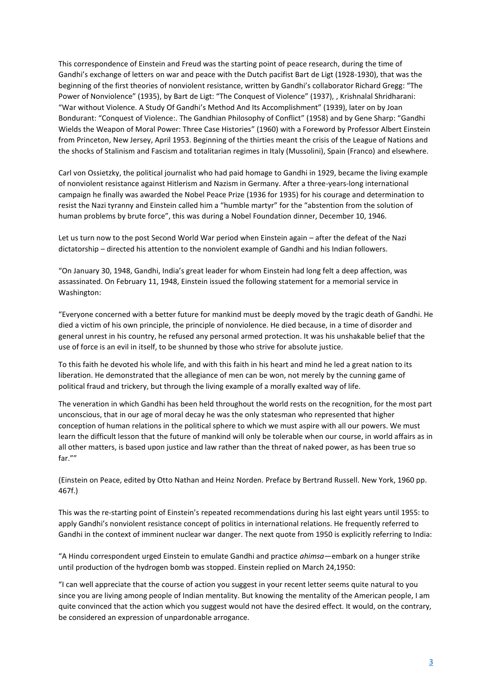This correspondence of Einstein and Freud was the starting point of peace research, during the time of Gandhi's exchange of letters on war and peace with the Dutch pacifist Bart de Ligt (1928-1930), that was the beginning of the first theories of nonviolent resistance, written by Gandhi's collaborator Richard Gregg: "The Power of Nonviolence" (1935), by Bart de Ligt: "The Conquest of Violence" (1937), , Krishnalal Shridharani: "War without Violence. A Study Of Gandhi's Method And Its Accomplishment" (1939), later on by Joan Bondurant: "Conquest of Violence:. The Gandhian Philosophy of Conflict" (1958) and by Gene Sharp: "Gandhi Wields the Weapon of Moral Power: Three Case Histories" (1960) with a Foreword by Professor Albert Einstein from Princeton, New Jersey, April 1953. Beginning of the thirties meant the crisis of the League of Nations and the shocks of Stalinism and Fascism and totalitarian regimes in Italy (Mussolini), Spain (Franco) and elsewhere.

Carl von Ossietzky, the political journalist who had paid homage to Gandhi in 1929, became the living example of nonviolent resistance against Hitlerism and Nazism in Germany. After a three-years-long international campaign he finally was awarded the Nobel Peace Prize (1936 for 1935) for his courage and determination to resist the Nazi tyranny and Einstein called him a "humble martyr" for the "abstention from the solution of human problems by brute force", this was during a Nobel Foundation dinner, December 10, 1946.

Let us turn now to the post Second World War period when Einstein again – after the defeat of the Nazi dictatorship – directed his attention to the nonviolent example of Gandhi and his Indian followers.

"On January 30, 1948, Gandhi, India's great leader for whom Einstein had long felt a deep affection, was assassinated. On February 11, 1948, Einstein issued the following statement for a memorial service in Washington:

"Everyone concerned with a better future for mankind must be deeply moved by the tragic death of Gandhi. He died a victim of his own principle, the principle of nonviolence. He died because, in a time of disorder and general unrest in his country, he refused any personal armed protection. It was his unshakable belief that the use of force is an evil in itself, to be shunned by those who strive for absolute justice.

To this faith he devoted his whole life, and with this faith in his heart and mind he led a great nation to its liberation. He demonstrated that the allegiance of men can be won, not merely by the cunning game of political fraud and trickery, but through the living example of a morally exalted way of life.

The veneration in which Gandhi has been held throughout the world rests on the recognition, for the most part unconscious, that in our age of moral decay he was the only statesman who represented that higher conception of human relations in the political sphere to which we must aspire with all our powers. We must learn the difficult lesson that the future of mankind will only be tolerable when our course, in world affairs as in all other matters, is based upon justice and law rather than the threat of naked power, as has been true so far.""

(Einstein on Peace, edited by Otto Nathan and Heinz Norden. Preface by Bertrand Russell. New York, 1960 pp. 467f.)

This was the re-starting point of Einstein's repeated recommendations during his last eight years until 1955: to apply Gandhi's nonviolent resistance concept of politics in international relations. He frequently referred to Gandhi in the context of imminent nuclear war danger. The next quote from 1950 is explicitly referring to India:

"A Hindu correspondent urged Einstein to emulate Gandhi and practice *ahimsa*—embark on a hunger strike until production of the hydrogen bomb was stopped. Einstein replied on March 24,1950:

"I can well appreciate that the course of action you suggest in your recent letter seems quite natural to you since you are living among people of Indian mentality. But knowing the mentality of the American people, I am quite convinced that the action which you suggest would not have the desired effect. It would, on the contrary, be considered an expression of unpardonable arrogance.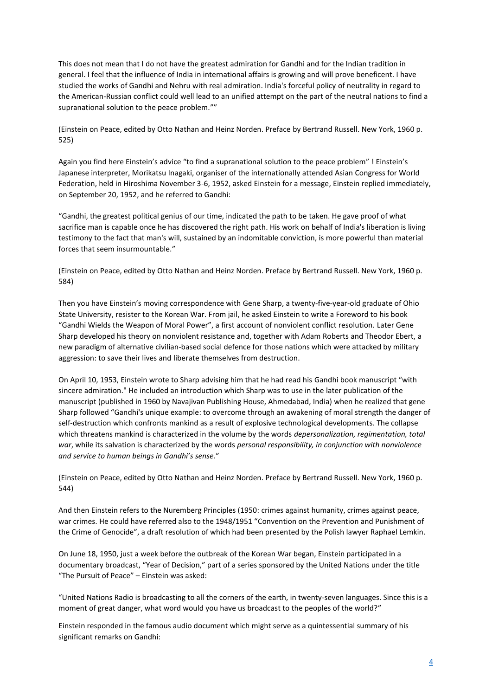This does not mean that I do not have the greatest admiration for Gandhi and for the Indian tradition in general. I feel that the influence of India in international affairs is growing and will prove beneficent. I have studied the works of Gandhi and Nehru with real admiration. India's forceful policy of neutrality in regard to the American-Russian conflict could well lead to an unified attempt on the part of the neutral nations to find a supranational solution to the peace problem.""

(Einstein on Peace, edited by Otto Nathan and Heinz Norden. Preface by Bertrand Russell. New York, 1960 p. 525)

Again you find here Einstein's advice "to find a supranational solution to the peace problem" ! Einstein's Japanese interpreter, Morikatsu Inagaki, organiser of the internationally attended Asian Congress for World Federation, held in Hiroshima November 3-6, 1952, asked Einstein for a message, Einstein replied immediately, on September 20, 1952, and he referred to Gandhi:

"Gandhi, the greatest political genius of our time, indicated the path to be taken. He gave proof of what sacrifice man is capable once he has discovered the right path. His work on behalf of India's liberation is living testimony to the fact that man's will, sustained by an indomitable conviction, is more powerful than material forces that seem insurmountable."

(Einstein on Peace, edited by Otto Nathan and Heinz Norden. Preface by Bertrand Russell. New York, 1960 p. 584)

Then you have Einstein's moving correspondence with Gene Sharp, a twenty-five-year-old graduate of Ohio State University, resister to the Korean War. From jail, he asked Einstein to write a Foreword to his book "Gandhi Wields the Weapon of Moral Power", a first account of nonviolent conflict resolution. Later Gene Sharp developed his theory on nonviolent resistance and, together with Adam Roberts and Theodor Ebert, a new paradigm of alternative civilian-based social defence for those nations which were attacked by military aggression: to save their lives and liberate themselves from destruction.

On April 10, 1953, Einstein wrote to Sharp advising him that he had read his Gandhi book manuscript "with sincere admiration." He included an introduction which Sharp was to use in the later publication of the manuscript (published in 1960 by Navajivan Publishing House, Ahmedabad, India) when he realized that gene Sharp followed "Gandhi's unique example: to overcome through an awakening of moral strength the danger of self-destruction which confronts mankind as a result of explosive technological developments. The collapse which threatens mankind is characterized in the volume by the words *depersonalization, regimentation, total war*, while its salvation is characterized by the words *personal responsibility, in conjunction with nonviolence and service to human beings in Gandhi's sense*."

(Einstein on Peace, edited by Otto Nathan and Heinz Norden. Preface by Bertrand Russell. New York, 1960 p. 544)

And then Einstein refers to the Nuremberg Principles (1950: crimes against humanity, crimes against peace, war crimes. He could have referred also to the 1948/1951 "Convention on the Prevention and Punishment of the Crime of Genocide", a draft resolution of which had been presented by the Polish lawyer Raphael Lemkin.

On June 18, 1950, just a week before the outbreak of the Korean War began, Einstein participated in a documentary broadcast, "Year of Decision," part of a series sponsored by the United Nations under the title "The Pursuit of Peace" – Einstein was asked:

"United Nations Radio is broadcasting to all the corners of the earth, in twenty-seven languages. Since this is a moment of great danger, what word would you have us broadcast to the peoples of the world?"

Einstein responded in the famous audio document which might serve as a quintessential summary of his significant remarks on Gandhi: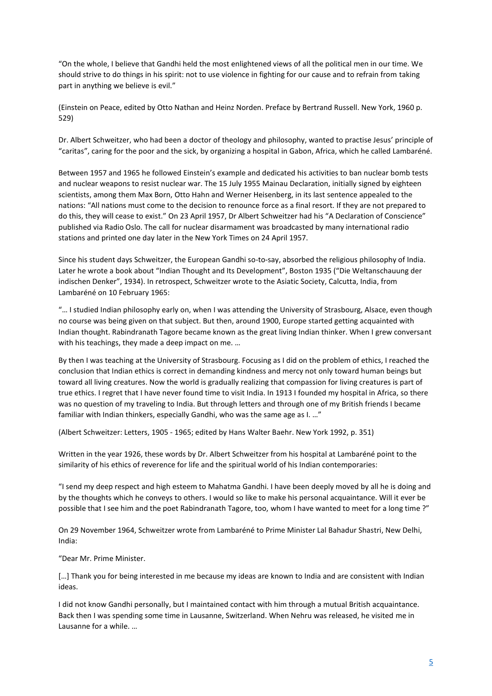"On the whole, I believe that Gandhi held the most enlightened views of all the political men in our time. We should strive to do things in his spirit: not to use violence in fighting for our cause and to refrain from taking part in anything we believe is evil."

(Einstein on Peace, edited by Otto Nathan and Heinz Norden. Preface by Bertrand Russell. New York, 1960 p. 529)

Dr. Albert Schweitzer, who had been a doctor of theology and philosophy, wanted to practise Jesus' principle of "caritas", caring for the poor and the sick, by organizing a hospital in Gabon, Africa, which he called Lambaréné.

Between 1957 and 1965 he followed Einstein's example and dedicated his activities to ban nuclear bomb tests and nuclear weapons to resist nuclear war. The 15 July 1955 Mainau Declaration, initially signed by eighteen scientists, among them Max Born, Otto Hahn and Werner Heisenberg, in its last sentence appealed to the nations: "All nations must come to the decision to renounce force as a final resort. If they are not prepared to do this, they will cease to exist." On 23 April 1957, Dr Albert Schweitzer had his "A Declaration of Conscience" published via Radio Oslo. The call for nuclear disarmament was broadcasted by many international radio stations and printed one day later in the New York Times on 24 April 1957.

Since his student days Schweitzer, the European Gandhi so-to-say, absorbed the religious philosophy of India. Later he wrote a book about "Indian Thought and Its Development", Boston 1935 ("Die Weltanschauung der indischen Denker", 1934). In retrospect, Schweitzer wrote to the Asiatic Society, Calcutta, India, from Lambaréné on 10 February 1965:

"… I studied Indian philosophy early on, when I was attending the University of Strasbourg, Alsace, even though no course was being given on that subject. But then, around 1900, Europe started getting acquainted with Indian thought. Rabindranath Tagore became known as the great living Indian thinker. When I grew conversant with his teachings, they made a deep impact on me. ...

By then I was teaching at the University of Strasbourg. Focusing as I did on the problem of ethics, I reached the conclusion that Indian ethics is correct in demanding kindness and mercy not only toward human beings but toward all living creatures. Now the world is gradually realizing that compassion for living creatures is part of true ethics. I regret that I have never found time to visit India. In 1913 I founded my hospital in Africa, so there was no question of my traveling to India. But through letters and through one of my British friends I became familiar with Indian thinkers, especially Gandhi, who was the same age as I. …"

(Albert Schweitzer: Letters, 1905 - 1965; edited by Hans Walter Baehr. New York 1992, p. 351)

Written in the year 1926, these words by Dr. Albert Schweitzer from his hospital at Lambaréné point to the similarity of his ethics of reverence for life and the spiritual world of his Indian contemporaries:

"I send my deep respect and high esteem to Mahatma Gandhi. I have been deeply moved by all he is doing and by the thoughts which he conveys to others. I would so like to make his personal acquaintance. Will it ever be possible that I see him and the poet Rabindranath Tagore, too, whom I have wanted to meet for a long time ?"

On 29 November 1964, Schweitzer wrote from Lambaréné to Prime Minister Lal Bahadur Shastri, New Delhi, India:

"Dear Mr. Prime Minister.

[...] Thank you for being interested in me because my ideas are known to India and are consistent with Indian ideas.

I did not know Gandhi personally, but I maintained contact with him through a mutual British acquaintance. Back then I was spending some time in Lausanne, Switzerland. When Nehru was released, he visited me in Lausanne for a while. …